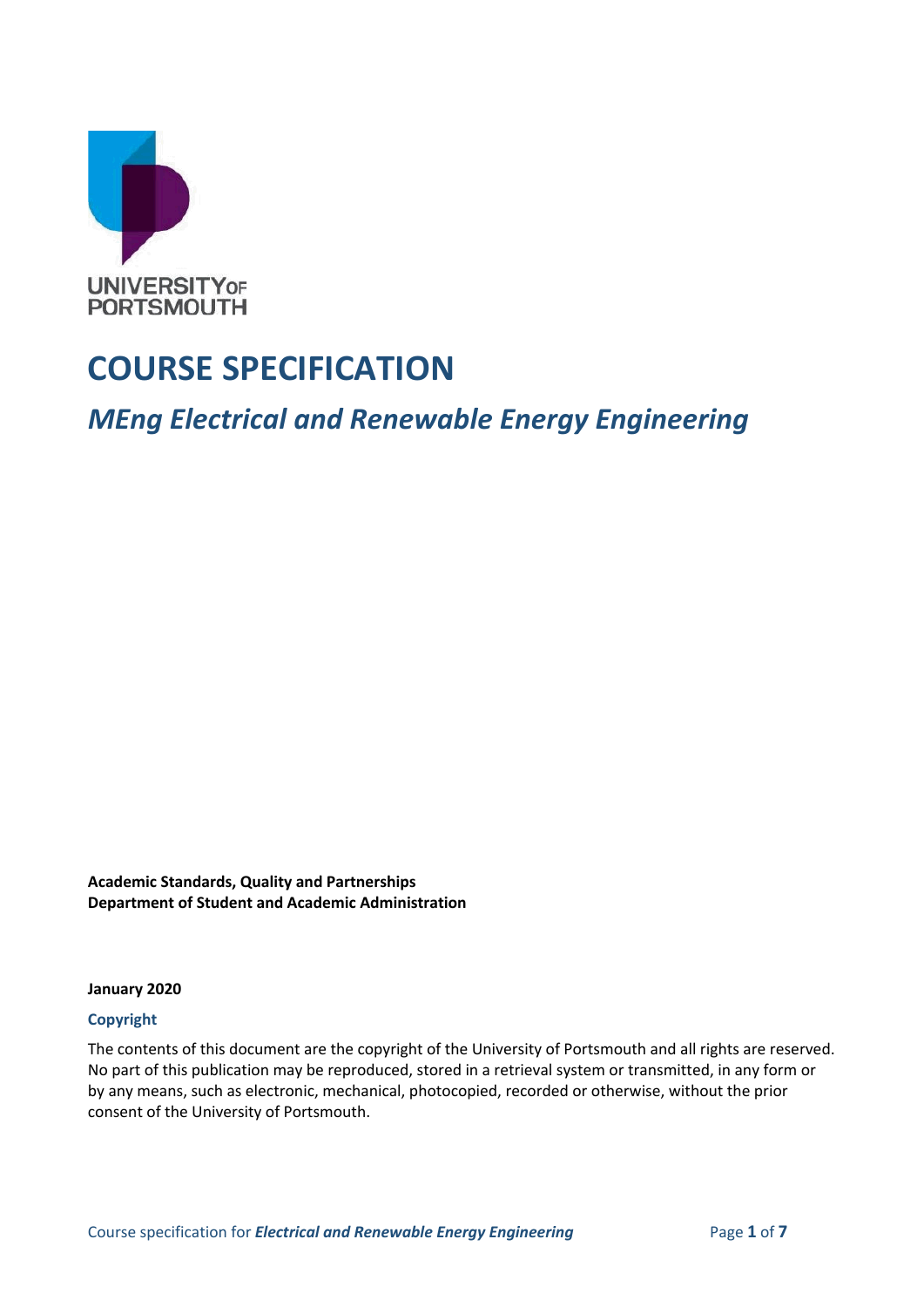

## **COURSE SPECIFICATION**

*MEng Electrical and Renewable Energy Engineering*

**Academic Standards, Quality and Partnerships Department of Student and Academic Administration**

**January 2020**

#### **Copyright**

The contents of this document are the copyright of the University of Portsmouth and all rights are reserved. No part of this publication may be reproduced, stored in a retrieval system or transmitted, in any form or by any means, such as electronic, mechanical, photocopied, recorded or otherwise, without the prior consent of the University of Portsmouth.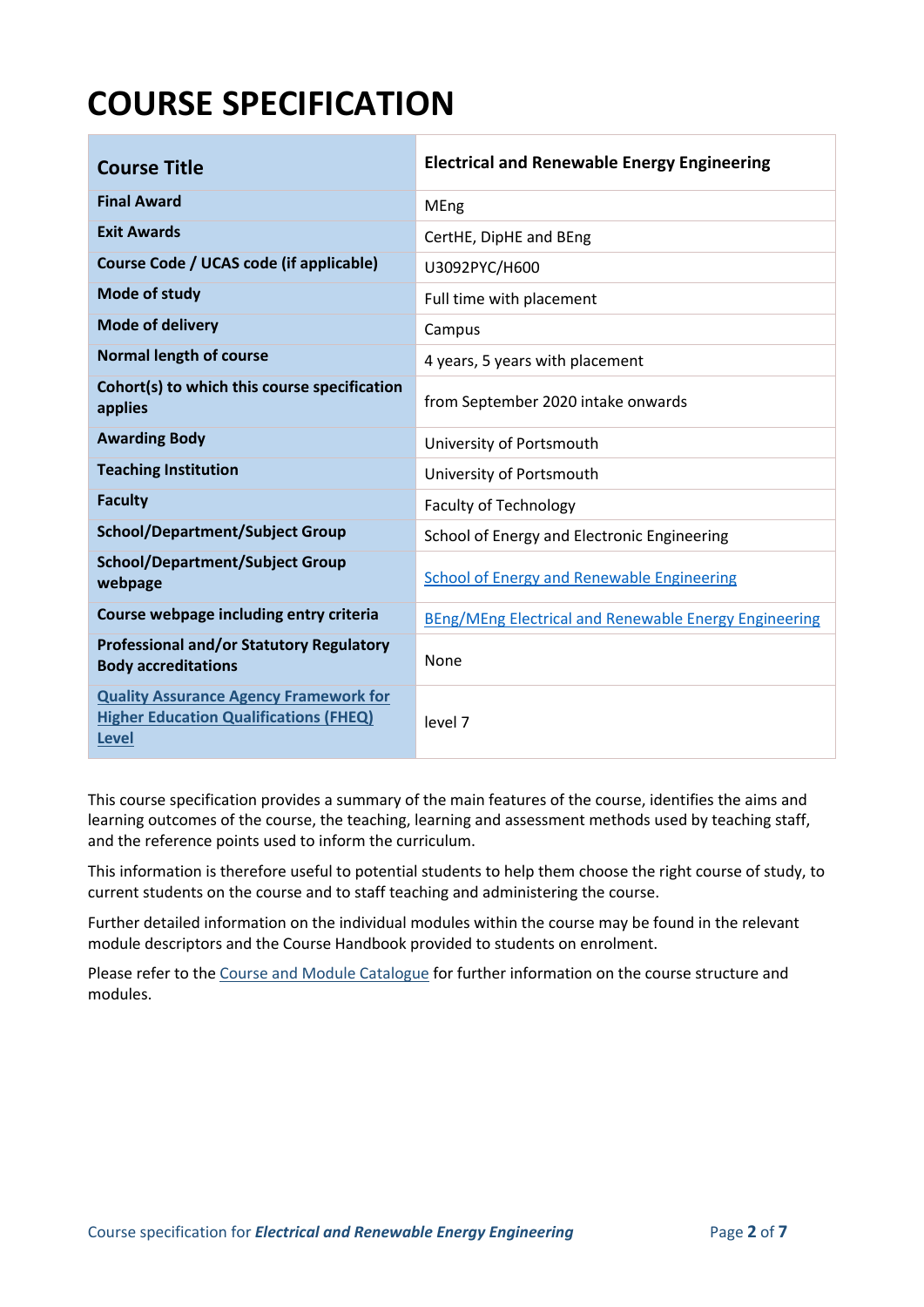# **COURSE SPECIFICATION**

| <b>Course Title</b>                                                                                            | <b>Electrical and Renewable Energy Engineering</b>    |
|----------------------------------------------------------------------------------------------------------------|-------------------------------------------------------|
| <b>Final Award</b>                                                                                             | <b>MEng</b>                                           |
| <b>Exit Awards</b>                                                                                             | CertHE, DipHE and BEng                                |
| Course Code / UCAS code (if applicable)                                                                        | U3092PYC/H600                                         |
| Mode of study                                                                                                  | Full time with placement                              |
| <b>Mode of delivery</b>                                                                                        | Campus                                                |
| <b>Normal length of course</b>                                                                                 | 4 years, 5 years with placement                       |
| Cohort(s) to which this course specification<br>applies                                                        | from September 2020 intake onwards                    |
| <b>Awarding Body</b>                                                                                           | University of Portsmouth                              |
| <b>Teaching Institution</b>                                                                                    | University of Portsmouth                              |
| <b>Faculty</b>                                                                                                 | <b>Faculty of Technology</b>                          |
| <b>School/Department/Subject Group</b>                                                                         | School of Energy and Electronic Engineering           |
| <b>School/Department/Subject Group</b><br>webpage                                                              | <b>School of Energy and Renewable Engineering</b>     |
| Course webpage including entry criteria                                                                        | BEng/MEng Electrical and Renewable Energy Engineering |
| <b>Professional and/or Statutory Regulatory</b><br><b>Body accreditations</b>                                  | None                                                  |
| <b>Quality Assurance Agency Framework for</b><br><b>Higher Education Qualifications (FHEQ)</b><br><b>Level</b> | level 7                                               |

This course specification provides a summary of the main features of the course, identifies the aims and learning outcomes of the course, the teaching, learning and assessment methods used by teaching staff, and the reference points used to inform the curriculum.

This information is therefore useful to potential students to help them choose the right course of study, to current students on the course and to staff teaching and administering the course.

Further detailed information on the individual modules within the course may be found in the relevant module descriptors and the Course Handbook provided to students on enrolment.

Please refer to the Course [and Module Catalogue](https://course-module-catalog.port.ac.uk/#/welcome) for further information on the course structure and modules.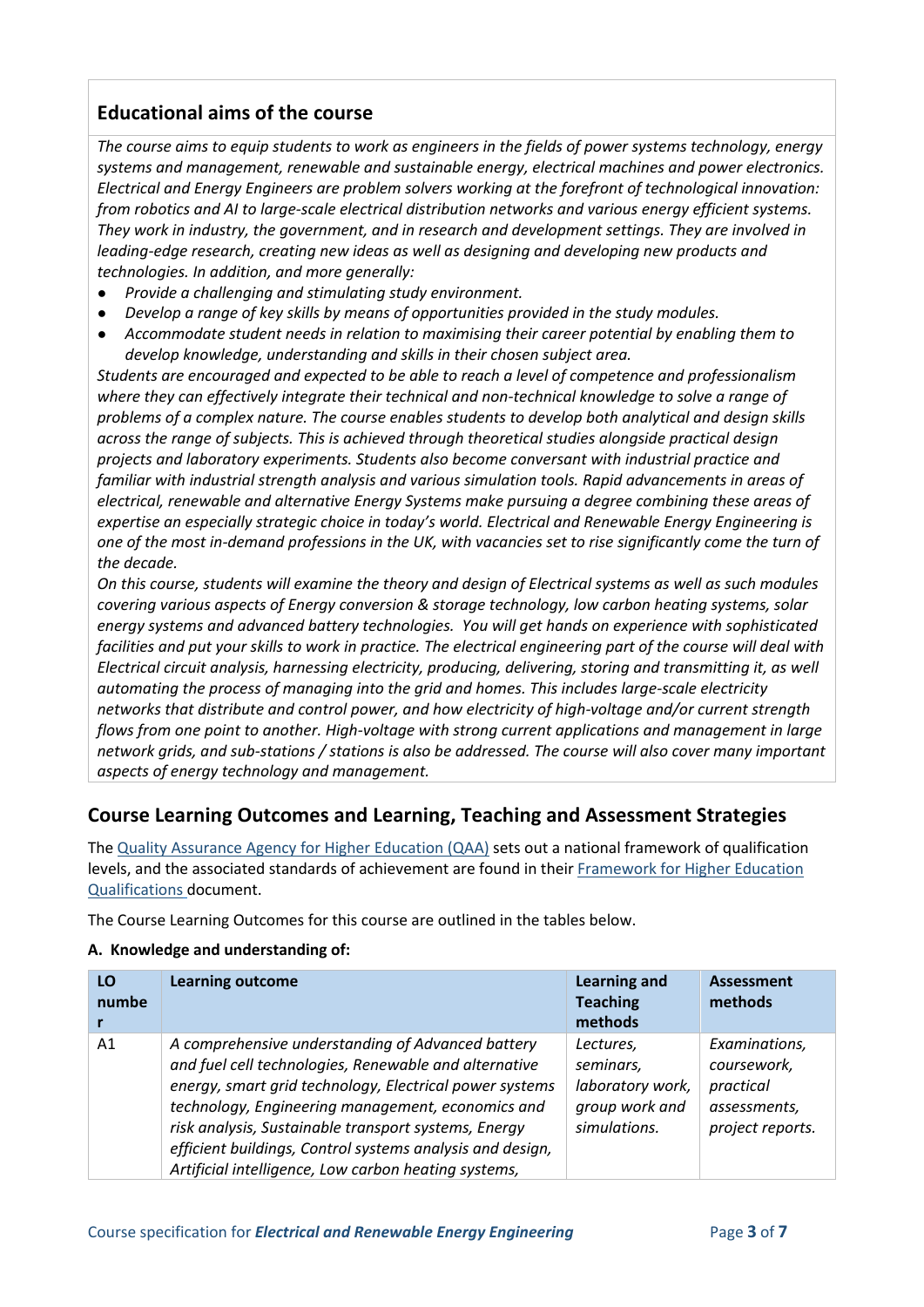## **Educational aims of the course**

*The course aims to equip students to work as engineers in the fields of power systems technology, energy systems and management, renewable and sustainable energy, electrical machines and power electronics. Electrical and Energy Engineers are problem solvers working at the forefront of technological innovation: from robotics and AI to large-scale electrical distribution networks and various energy efficient systems. They work in industry, the government, and in research and development settings. They are involved in leading-edge research, creating new ideas as well as designing and developing new products and technologies. In addition, and more generally:*

- *Provide a challenging and stimulating study environment.*
- *Develop a range of key skills by means of opportunities provided in the study modules.*
- *Accommodate student needs in relation to maximising their career potential by enabling them to develop knowledge, understanding and skills in their chosen subject area.*

*Students are encouraged and expected to be able to reach a level of competence and professionalism where they can effectively integrate their technical and non-technical knowledge to solve a range of problems of a complex nature. The course enables students to develop both analytical and design skills across the range of subjects. This is achieved through theoretical studies alongside practical design projects and laboratory experiments. Students also become conversant with industrial practice and familiar with industrial strength analysis and various simulation tools. Rapid advancements in areas of electrical, renewable and alternative Energy Systems make pursuing a degree combining these areas of expertise an especially strategic choice in today's world. Electrical and Renewable Energy Engineering is one of the most in-demand professions in the UK, with vacancies set to rise significantly come the turn of the decade.*

*On this course, students will examine the theory and design of Electrical systems as well as such modules covering various aspects of Energy conversion & storage technology, low carbon heating systems, solar energy systems and advanced battery technologies. You will get hands on experience with sophisticated facilities and put your skills to work in practice. The electrical engineering part of the course will deal with Electrical circuit analysis, harnessing electricity, producing, delivering, storing and transmitting it, as well automating the process of managing into the grid and homes. This includes large-scale electricity networks that distribute and control power, and how electricity of high-voltage and/or current strength flows from one point to another. High-voltage with strong current applications and management in large network grids, and sub-stations / stations is also be addressed. The course will also cover many important aspects of energy technology and management.*

## **Course Learning Outcomes and Learning, Teaching and Assessment Strategies**

The [Quality Assurance Agency for Higher Education \(QAA\)](http://www.qaa.ac.uk/en) sets out a national framework of qualification levels, and the associated standards of achievement are found in their [Framework for Higher Education](http://www.qaa.ac.uk/quality-code/the-existing-uk-quality-code/part-a-setting-and-maintaining-academic-standards)  [Qualifications](http://www.qaa.ac.uk/quality-code/the-existing-uk-quality-code/part-a-setting-and-maintaining-academic-standards) document.

The Course Learning Outcomes for this course are outlined in the tables below.

#### **A. Knowledge and understanding of:**

| LO<br>numbe | <b>Learning outcome</b>                                                                                                                                                                                                                                                                                                                                                                                 | <b>Learning and</b><br><b>Teaching</b><br>methods                            | <b>Assessment</b><br>methods                                                  |
|-------------|---------------------------------------------------------------------------------------------------------------------------------------------------------------------------------------------------------------------------------------------------------------------------------------------------------------------------------------------------------------------------------------------------------|------------------------------------------------------------------------------|-------------------------------------------------------------------------------|
| A1          | A comprehensive understanding of Advanced battery<br>and fuel cell technologies, Renewable and alternative<br>energy, smart grid technology, Electrical power systems<br>technology, Engineering management, economics and<br>risk analysis, Sustainable transport systems, Energy<br>efficient buildings, Control systems analysis and design,<br>Artificial intelligence, Low carbon heating systems, | Lectures,<br>seminars,<br>laboratory work,<br>group work and<br>simulations. | Examinations,<br>coursework,<br>practical<br>assessments,<br>project reports. |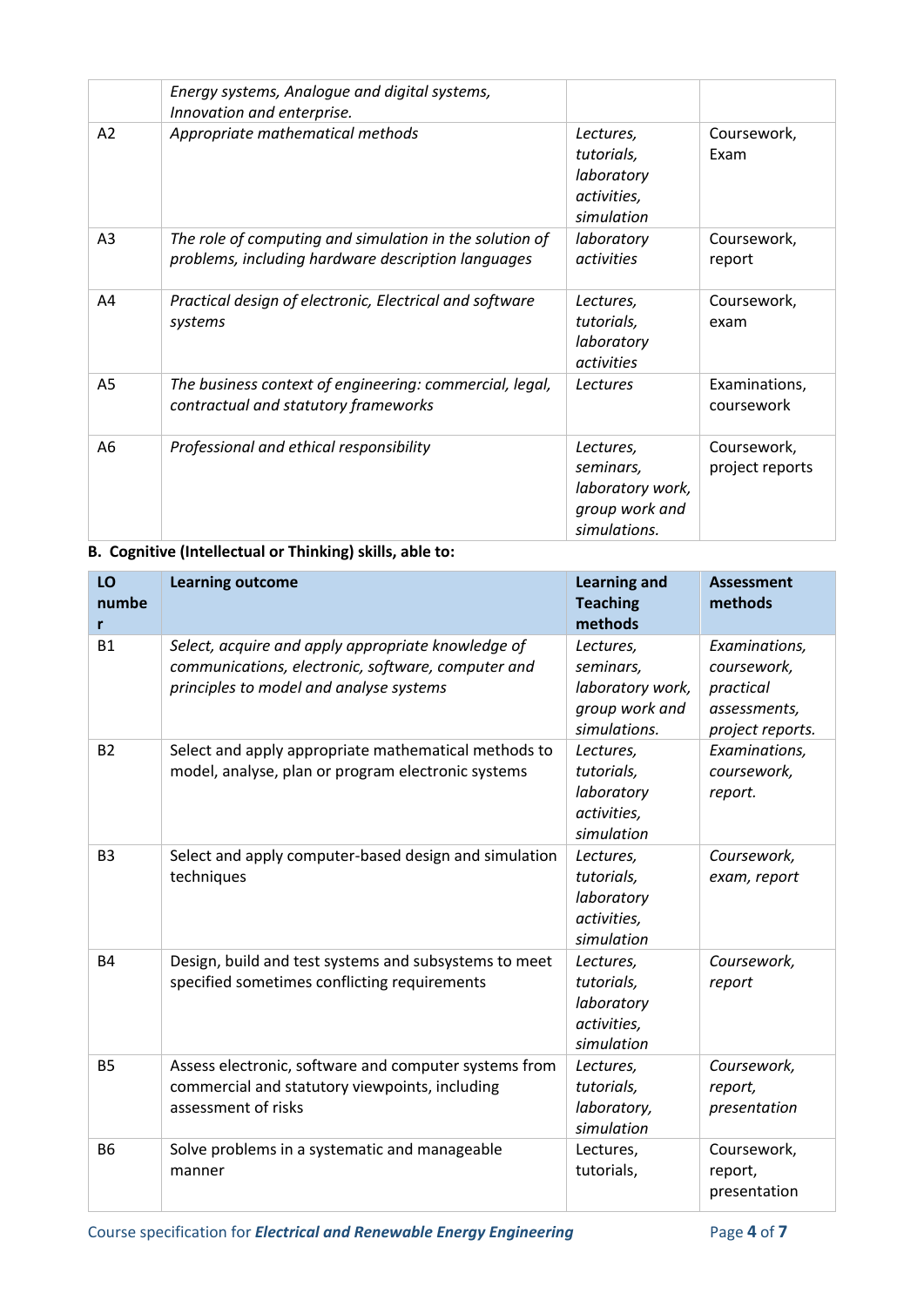|                | Energy systems, Analogue and digital systems,<br>Innovation and enterprise.                                   |                                                                              |                                |
|----------------|---------------------------------------------------------------------------------------------------------------|------------------------------------------------------------------------------|--------------------------------|
| A2             | Appropriate mathematical methods                                                                              | Lectures,<br>tutorials,<br>laboratory<br>activities,<br>simulation           | Coursework,<br>Exam            |
| A <sub>3</sub> | The role of computing and simulation in the solution of<br>problems, including hardware description languages | laboratory<br>activities                                                     | Coursework,<br>report          |
| A4             | Practical design of electronic, Electrical and software<br>systems                                            | Lectures,<br>tutorials,<br>laboratory<br>activities                          | Coursework,<br>exam            |
| A5             | The business context of engineering: commercial, legal,<br>contractual and statutory frameworks               | Lectures                                                                     | Examinations,<br>coursework    |
| A6             | Professional and ethical responsibility                                                                       | Lectures,<br>seminars,<br>laboratory work,<br>group work and<br>simulations. | Coursework,<br>project reports |

## **B. Cognitive (Intellectual or Thinking) skills, able to:**

| LO<br>numbe<br>r | <b>Learning outcome</b>                                                                                                                             | <b>Learning and</b><br><b>Teaching</b><br>methods                            | <b>Assessment</b><br>methods                                                  |
|------------------|-----------------------------------------------------------------------------------------------------------------------------------------------------|------------------------------------------------------------------------------|-------------------------------------------------------------------------------|
| <b>B1</b>        | Select, acquire and apply appropriate knowledge of<br>communications, electronic, software, computer and<br>principles to model and analyse systems | Lectures,<br>seminars,<br>laboratory work,<br>group work and<br>simulations. | Examinations,<br>coursework,<br>practical<br>assessments,<br>project reports. |
| <b>B2</b>        | Select and apply appropriate mathematical methods to<br>model, analyse, plan or program electronic systems                                          | Lectures,<br>tutorials,<br>laboratory<br>activities,<br>simulation           | Examinations,<br>coursework,<br>report.                                       |
| B <sub>3</sub>   | Select and apply computer-based design and simulation<br>techniques                                                                                 | Lectures,<br>tutorials,<br>laboratory<br>activities,<br>simulation           | Coursework,<br>exam, report                                                   |
| <b>B4</b>        | Design, build and test systems and subsystems to meet<br>specified sometimes conflicting requirements                                               | Lectures,<br>tutorials,<br>laboratory<br>activities,<br>simulation           | Coursework,<br>report                                                         |
| <b>B5</b>        | Assess electronic, software and computer systems from<br>commercial and statutory viewpoints, including<br>assessment of risks                      | Lectures,<br>tutorials,<br>laboratory,<br>simulation                         | Coursework,<br>report,<br>presentation                                        |
| <b>B6</b>        | Solve problems in a systematic and manageable<br>manner                                                                                             | Lectures,<br>tutorials,                                                      | Coursework,<br>report,<br>presentation                                        |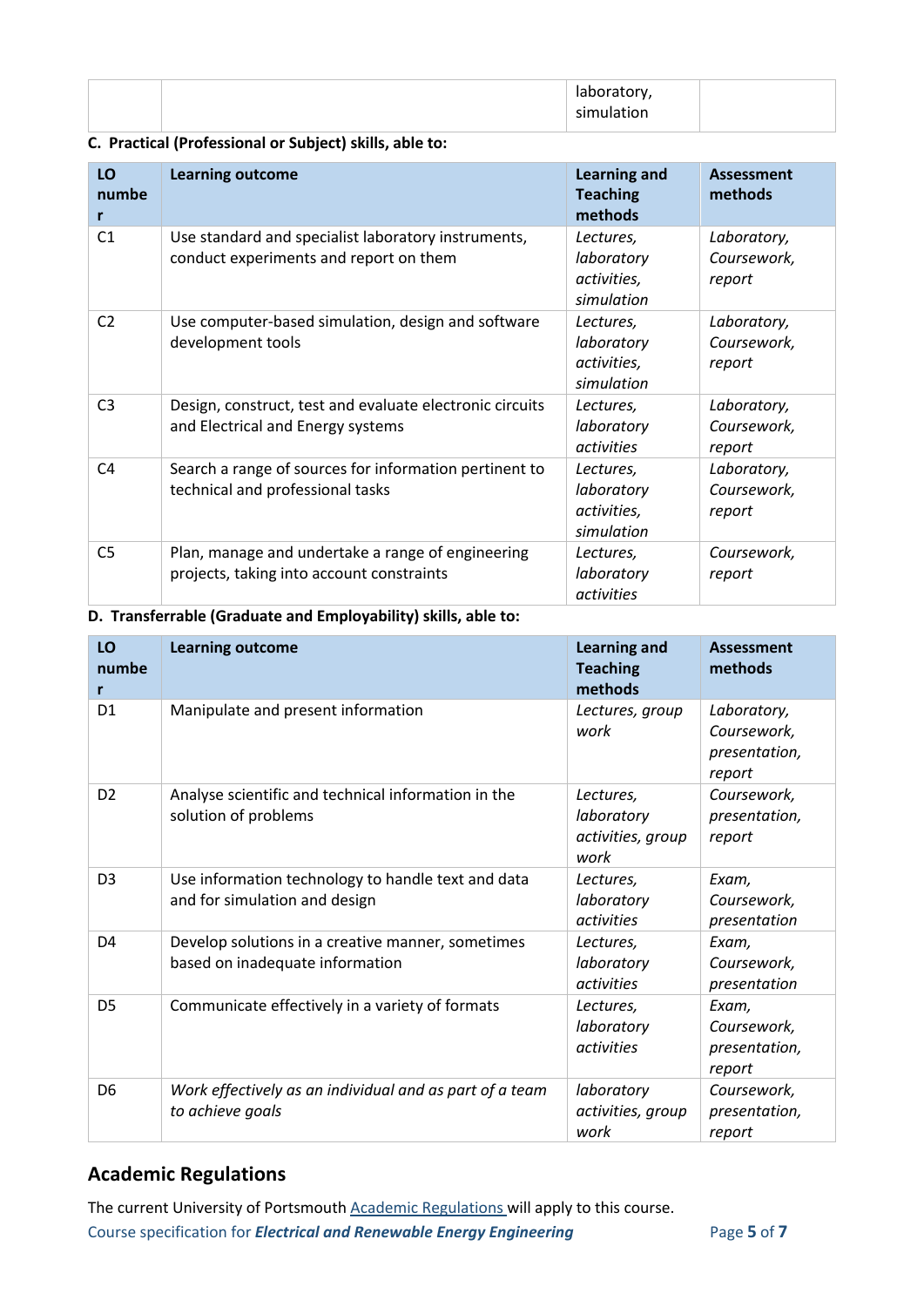|  | torv<br>$\overline{\phantom{a}}$ |  |
|--|----------------------------------|--|
|  | .                                |  |

## **C. Practical (Professional or Subject) skills, able to:**

| LO<br>numbe<br>r | <b>Learning outcome</b>                                                                        | <b>Learning and</b><br><b>Teaching</b><br>methods    | <b>Assessment</b><br>methods         |
|------------------|------------------------------------------------------------------------------------------------|------------------------------------------------------|--------------------------------------|
| C <sub>1</sub>   | Use standard and specialist laboratory instruments,<br>conduct experiments and report on them  | Lectures,<br>laboratory<br>activities,<br>simulation | Laboratory,<br>Coursework,<br>report |
| C <sub>2</sub>   | Use computer-based simulation, design and software<br>development tools                        | Lectures,<br>laboratory<br>activities,<br>simulation | Laboratory,<br>Coursework,<br>report |
| C <sub>3</sub>   | Design, construct, test and evaluate electronic circuits<br>and Electrical and Energy systems  | Lectures,<br>laboratory<br>activities                | Laboratory,<br>Coursework,<br>report |
| C4               | Search a range of sources for information pertinent to<br>technical and professional tasks     | Lectures,<br>laboratory<br>activities,<br>simulation | Laboratory,<br>Coursework,<br>report |
| C <sub>5</sub>   | Plan, manage and undertake a range of engineering<br>projects, taking into account constraints | Lectures,<br>laboratory<br>activities                | Coursework,<br>report                |

#### **D. Transferrable (Graduate and Employability) skills, able to:**

| LO<br>numbe<br>r | <b>Learning outcome</b>                                                              | <b>Learning and</b><br><b>Teaching</b><br>methods    | <b>Assessment</b><br>methods                          |
|------------------|--------------------------------------------------------------------------------------|------------------------------------------------------|-------------------------------------------------------|
| D <sub>1</sub>   | Manipulate and present information                                                   | Lectures, group<br>work                              | Laboratory,<br>Coursework,<br>presentation,<br>report |
| D <sub>2</sub>   | Analyse scientific and technical information in the<br>solution of problems          | Lectures,<br>laboratory<br>activities, group<br>work | Coursework,<br>presentation,<br>report                |
| D <sub>3</sub>   | Use information technology to handle text and data<br>and for simulation and design  | Lectures,<br>laboratory<br>activities                | Exam,<br>Coursework,<br>presentation                  |
| D <sub>4</sub>   | Develop solutions in a creative manner, sometimes<br>based on inadequate information | Lectures,<br>laboratory<br>activities                | Exam,<br>Coursework,<br>presentation                  |
| D <sub>5</sub>   | Communicate effectively in a variety of formats                                      | Lectures,<br>laboratory<br>activities                | Exam,<br>Coursework,<br>presentation,<br>report       |
| D <sub>6</sub>   | Work effectively as an individual and as part of a team<br>to achieve goals          | laboratory<br>activities, group<br>work              | Coursework,<br>presentation,<br>report                |

## **Academic Regulations**

Course specification for *Electrical and Renewable Energy Engineering* Page 5 of 7 The current University of Portsmouth **Academic Regulations** will apply to this course.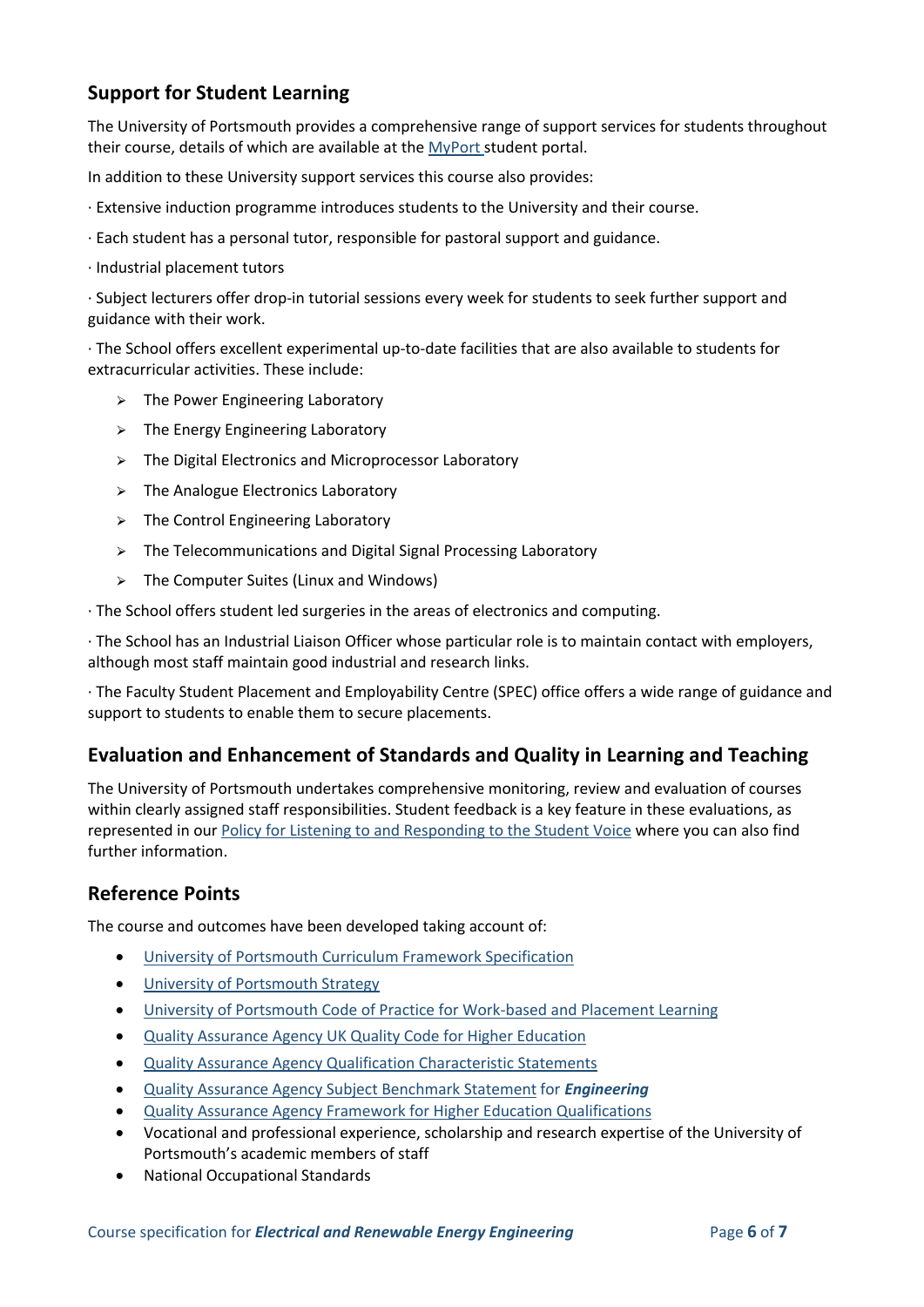## **Support for Student Learning**

The University of Portsmouth provides a comprehensive range of support services for students throughout their course, details of which are available at the [MyPort](http://myport.ac.uk/) student portal.

In addition to these University support services this course also provides:

- · Extensive induction programme introduces students to the University and their course.
- · Each student has a personal tutor, responsible for pastoral support and guidance.
- · Industrial placement tutors

· Subject lecturers offer drop-in tutorial sessions every week for students to seek further support and guidance with their work.

· The School offers excellent experimental up-to-date facilities that are also available to students for extracurricular activities. These include:

- $\geq$  The Power Engineering Laboratory
- $\triangleright$  The Energy Engineering Laboratory
- $\triangleright$  The Digital Electronics and Microprocessor Laboratory
- $\triangleright$  The Analogue Electronics Laboratory
- $\triangleright$  The Control Engineering Laboratory
- $\triangleright$  The Telecommunications and Digital Signal Processing Laboratory
- $\geq$  The Computer Suites (Linux and Windows)

· The School offers student led surgeries in the areas of electronics and computing.

· The School has an Industrial Liaison Officer whose particular role is to maintain contact with employers, although most staff maintain good industrial and research links.

· The Faculty Student Placement and Employability Centre (SPEC) office offers a wide range of guidance and support to students to enable them to secure placements.

## **Evaluation and Enhancement of Standards and Quality in Learning and Teaching**

The University of Portsmouth undertakes comprehensive monitoring, review and evaluation of courses within clearly assigned staff responsibilities. Student feedback is a key feature in these evaluations, as represented in our [Policy for Listening to and Responding to the Student Voice](http://policies.docstore.port.ac.uk/policy-069.pdf) where you can also find further information.

### **Reference Points**

The course and outcomes have been developed taking account of:

- [University of Portsmouth Curriculum Framework Specification](http://policies.docstore.port.ac.uk/policy-217.pdf?_ga=2.262170252.1863271531.1625471462-353504235.1613498042)
- [University of Portsmouth Strategy](https://www.port.ac.uk/about-us/our-ambition/our-strategy)
- [University of Portsmouth Code of Practice for Work-based and Placement Learning](http://policies.docstore.port.ac.uk/policy-151.pdf)
- [Quality Assurance Agency UK Quality Code for Higher Education](https://www.qaa.ac.uk/quality-code)
- [Quality Assurance Agency Qualification Characteristic Statements](https://www.qaa.ac.uk/quality-code/characteristics-statements)
- [Quality Assurance Agency Subject Benchmark Statement](http://www.qaa.ac.uk/assuring-standards-and-quality/the-quality-code/subject-benchmark-statements) for *Engineering*
- [Quality Assurance Agency Framework for Higher Education Qualifications](http://www.qaa.ac.uk/quality-code/the-existing-uk-quality-code/part-a-setting-and-maintaining-academic-standards)
- Vocational and professional experience, scholarship and research expertise of the University of Portsmouth's academic members of staff
- National Occupational Standards